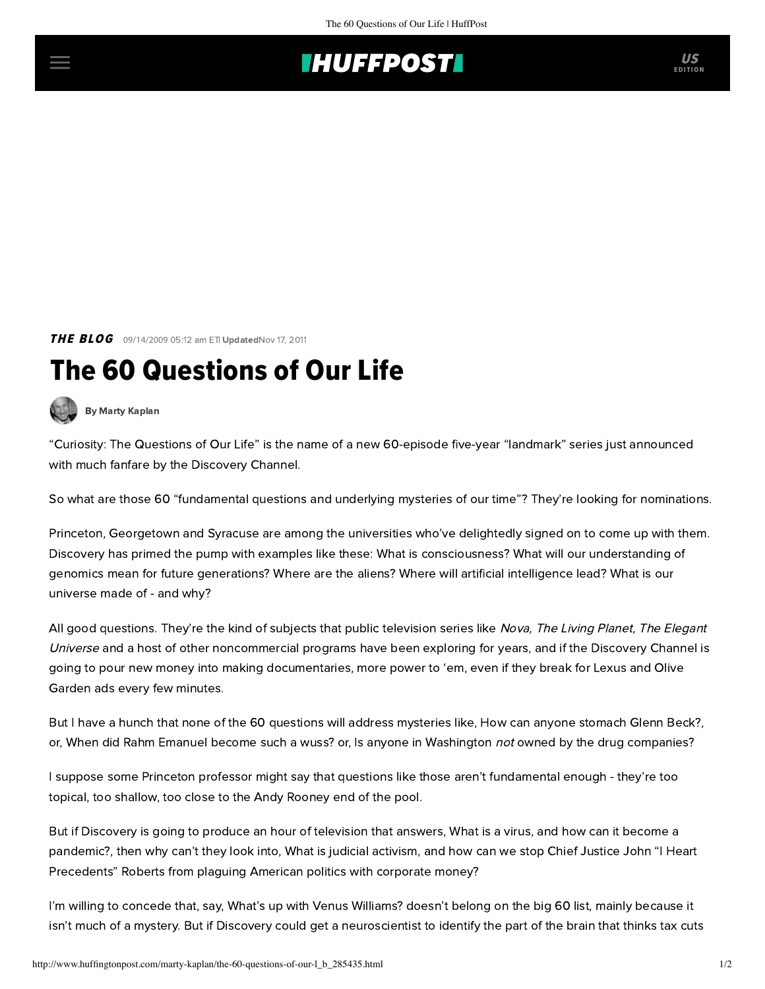## **THUFFPOSTI** US

**THE BLOG** 09/14/2009 05:12 am ETI UpdatedNov 17, 2011

## The 60 Questions of Our Life



[By Marty Kaplan](http://www.huffingtonpost.com/author/marty-kaplan)

"Curiosity: The Questions of Our Life" is the name of a new 60-episode five-year "landmark" series [just announced](http://www.thefutoncritic.com/news.aspx?id=20090910discovery01) with much [fanfare](http://www.nytimes.com/2009/09/10/arts/television/10channel.html?_r=1&scp=2&sq=adult%20education&st=cse) by the Discovery Channel.

So what are those 60 "fundamental questions and underlying mysteries of our time"? They're looking for nominations.

Princeton, Georgetown and Syracuse are among the universities who've delightedly signed on to come up with them. Discovery has primed the pump with examples like these: What is consciousness? What will our understanding of genomics mean for future generations? Where are the aliens? Where will artificial intelligence lead? What is our universe made of - and why?

All good questions. They're the kind of subjects that public television series like Nova, The Living Planet, The Elegant Universe and a host of other noncommercial programs have been exploring for years, and if the Discovery Channel is going to pour new money into making documentaries, more power to 'em, even if they break for Lexus and Olive Garden ads every few minutes.

But I have a hunch that none of the 60 questions will address mysteries like, How can anyone stomach Glenn Beck?, or, When did Rahm Emanuel become such a wuss? or, Is anyone in Washington not owned by the drug companies?

I suppose some Princeton professor might say that questions like those aren't fundamental enough - they're too topical, too shallow, too close to the Andy Rooney end of the pool.

But if Discovery is going to produce an hour of television that answers, What is a virus, and how can it become a pandemic?, then why can't they look into, What is judicial activism, and how can we stop Chief Justice [John](http://host.madison.com/ct/news/opinion/column/john_nichols/article_5e0ef6e5-7e0e-5766-9814-ee1be8d92d86.html) "I Heart Precedents" [Roberts](http://www.democracy21.org/index.asp?Type=B_PR&SEC=%7B91FCB139-CC82-4DDD-AE4E-3A81E6427C7F%7D&DE=%7B3C4B5BB0-31F6-443F-A6DC-A97BAA5B0417%7D) from plaguing American politics with corporate money?

I'm willing to concede that, say, What's up with Venus Williams? doesn't belong on the big 60 list, mainly because it isn't much of a mystery. But if Discovery could get a neuroscientist to identify the part of the brain that thinks tax cuts